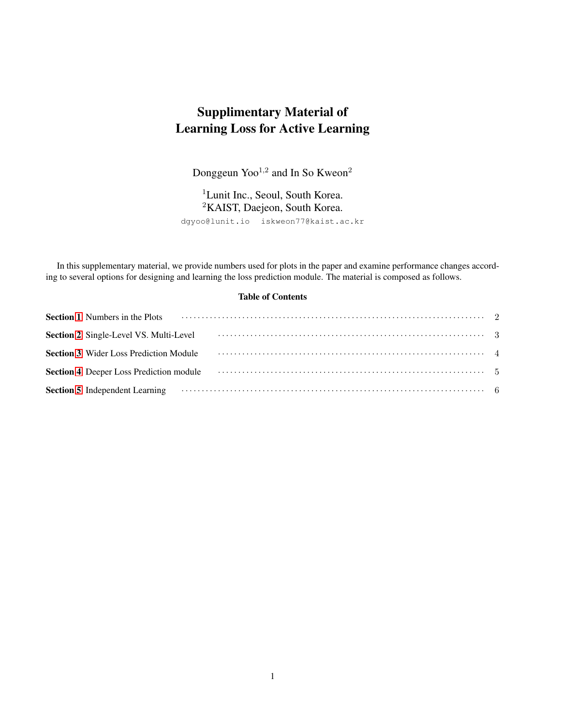# Supplimentary Material of Learning Loss for Active Learning

Donggeun  $Yoo^{1,2}$  and In So Kweon<sup>2</sup>

<sup>1</sup>Lunit Inc., Seoul, South Korea. <sup>2</sup>KAIST, Daejeon, South Korea. dgyoo@lunit.io iskweon77@kaist.ac.kr

In this supplementary material, we provide numbers used for plots in the paper and examine performance changes according to several options for designing and learning the loss prediction module. The material is composed as follows.

#### Table of Contents

| Section 1 Numbers in the Plots (a) and the context of the Plots (c) and the Plots (c) and the plots (c) and the plots (c) and the plots (c) and the plots (c) and the plots (c) and the plots (c) and the plots (c) and the pl |  |
|--------------------------------------------------------------------------------------------------------------------------------------------------------------------------------------------------------------------------------|--|
|                                                                                                                                                                                                                                |  |
| Section 3 Wider Loss Prediction Module (a) Module (b) Module (b) Module (b) Module (b) Module (b) Module (b) Module (b) Module (b) Module (b) Module (b) Module (b) Module (b) Module (b) Module (b) Module (b) Module (b) Mod |  |
| Section 4 Deeper Loss Prediction module (a) and the contract of the section 4 Deeper Loss Prediction module                                                                                                                    |  |
| Section 5 Independent Learning (and according of the section of the section 5 Independent Learning (b) and the section of the section of the section of the section of the section of the section of the section of the sectio |  |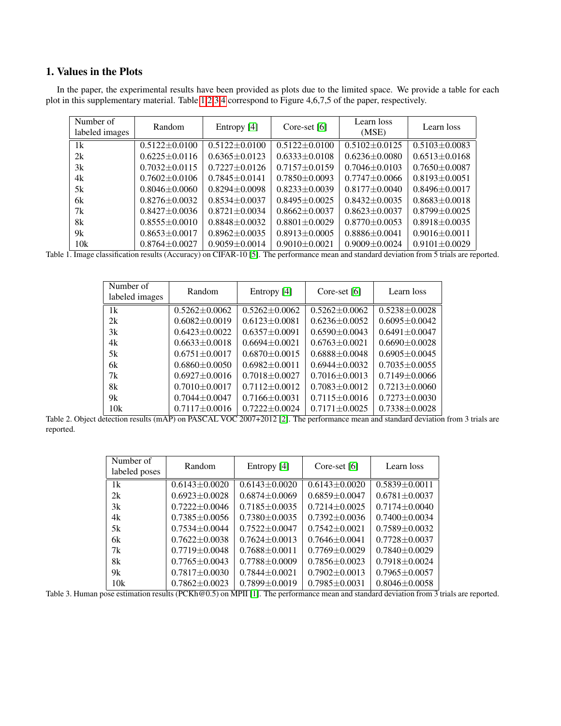# <span id="page-1-0"></span>1. Values in the Plots

In the paper, the experimental results have been provided as plots due to the limited space. We provide a table for each plot in this supplementary material. Table [1](#page-1-1)[,2](#page-1-2)[,3](#page-1-3)[,4](#page-2-1) correspond to Figure 4,6,7,5 of the paper, respectively.

| Number of<br>labeled images | Random              | Entropy [4]         | Core-set $[6]$    | Learn loss<br>(MSE) | Learn loss          |
|-----------------------------|---------------------|---------------------|-------------------|---------------------|---------------------|
| 1k                          | $0.5122 \pm 0.0100$ | $0.5122 + 0.0100$   | $0.5122 + 0.0100$ | $0.5102 + 0.0125$   | $0.5103 + 0.0083$   |
| 2k                          | $0.6225 \pm 0.0116$ | $0.6365 + 0.0123$   | $0.6333 + 0.0108$ | $0.6236 + 0.0080$   | $0.6513 \pm 0.0168$ |
| 3k                          | $0.7032 + 0.0115$   | $0.7227 + 0.0126$   | $0.7157 + 0.0159$ | $0.7046 + 0.0103$   | $0.7650 \pm 0.0087$ |
| 4k                          | $0.7602 + 0.0106$   | $0.7845 + 0.0141$   | $0.7850 + 0.0093$ | $0.7747 + 0.0066$   | $0.8193 + 0.0051$   |
| 5k                          | $0.8046 + 0.0060$   | $0.8294 + 0.0098$   | $0.8233 + 0.0039$ | $0.8177 + 0.0040$   | $0.8496 + 0.0017$   |
| 6k                          | $0.8276 + 0.0032$   | $0.8534 + 0.0037$   | $0.8495 + 0.0025$ | $0.8432 + 0.0035$   | $0.8683 \pm 0.0018$ |
| 7k                          | $0.8427 + 0.0036$   | $0.8721 + 0.0034$   | $0.8662 + 0.0037$ | $0.8623 + 0.0037$   | $0.8799 + 0.0025$   |
| 8k                          | $0.8555 \pm 0.0010$ | $0.8848 + 0.0032$   | $0.8801 + 0.0029$ | $0.8770 \pm 0.0053$ | $0.8918 \pm 0.0035$ |
| 9k                          | $0.8653 \pm 0.0017$ | $0.8962 + 0.0035$   | $0.8913 + 0.0005$ | $0.8886 + 0.0041$   | $0.9016 \pm 0.0011$ |
| 10k                         | $0.8764 \pm 0.0027$ | $0.9059 \pm 0.0014$ | $0.9010 + 0.0021$ | $0.9009 + 0.0024$   | $0.9101 \pm 0.0029$ |

<span id="page-1-1"></span>Table 1. Image classification results (Accuracy) on CIFAR-10 [\[5\]](#page-6-2). The performance mean and standard deviation from 5 trials are reported.

| Number of      | Random              | Entropy [4]         | Core-set [6]        | Learn loss          |  |
|----------------|---------------------|---------------------|---------------------|---------------------|--|
| labeled images |                     |                     |                     |                     |  |
| 1k             | $0.5262 + 0.0062$   | $0.5262 + 0.0062$   | $0.5262 + 0.0062$   | $0.5238 + 0.0028$   |  |
| 2k             | $0.6082 \pm 0.0019$ | $0.6123 + 0.0081$   | $0.6236 \pm 0.0052$ | $0.6095 \pm 0.0042$ |  |
| 3k             | $0.6423 + 0.0022$   | $0.6357 + 0.0091$   | $0.6590 + 0.0043$   | $0.6491 + 0.0047$   |  |
| 4k             | $0.6633 + 0.0018$   | $0.6694 + 0.0021$   | $0.6763 + 0.0021$   | $0.6690 + 0.0028$   |  |
| 5k             | $0.6751 + 0.0017$   | $0.6870 + 0.0015$   | $0.6888 + 0.0048$   | $0.6905 + 0.0045$   |  |
| 6k             | $0.6860 \pm 0.0050$ | $0.6982 \pm 0.0011$ | $0.6944 + 0.0032$   | $0.7035 + 0.0055$   |  |
| 7k             | $0.6927 \pm 0.0016$ | $0.7018 + 0.0027$   | $0.7016 + 0.0013$   | $0.7149 \pm 0.0066$ |  |
| 8k             | $0.7010 + 0.0017$   | $0.7112 \pm 0.0012$ | $0.7083 + 0.0012$   | $0.7213 + 0.0060$   |  |
| 9k             | $0.7044 \pm 0.0047$ | $0.7166 + 0.0031$   | $0.7115 \pm 0.0016$ | $0.7273 \pm 0.0030$ |  |
| 10k            | $0.7117 \pm 0.0016$ | $0.7222 \pm 0.0024$ | $0.7171 + 0.0025$   | $0.7338 \pm 0.0028$ |  |

<span id="page-1-2"></span>Table 2. Object detection results (mAP) on PASCAL VOC 2007+2012 [\[2\]](#page-6-3). The performance mean and standard deviation from 3 trials are reported.

| Number of     | Random              |                     | Core-set [6]        | Learn loss          |  |
|---------------|---------------------|---------------------|---------------------|---------------------|--|
| labeled poses |                     | Entropy [4]         |                     |                     |  |
| 1k            | $0.6143 + 0.0020$   | $0.6143 + 0.0020$   | $0.6143 + 0.0020$   | $0.5839 \pm 0.0011$ |  |
| 2k            | $0.6923 + 0.0028$   | $0.6874 + 0.0069$   | $0.6859 + 0.0047$   | $0.6781 + 0.0037$   |  |
| 3k            | $0.7222 + 0.0046$   | $0.7185 + 0.0035$   | $0.7214 + 0.0025$   | $0.7174 + 0.0040$   |  |
| 4k            | $0.7385 + 0.0056$   | $0.7380 + 0.0035$   | $0.7392 \pm 0.0036$ | $0.7400 + 0.0034$   |  |
| 5k            | $0.7534 + 0.0044$   | $0.7522 + 0.0047$   | $0.7542 + 0.0021$   | $0.7589 + 0.0032$   |  |
| 6k            | $0.7622 + 0.0038$   | $0.7624 + 0.0013$   | $0.7646 + 0.0041$   | $0.7728 + 0.0037$   |  |
| 7k            | $0.7719 + 0.0048$   | $0.7688 + 0.0011$   | $0.7769 + 0.0029$   | $0.7840\pm0.0029$   |  |
| 8k            | $0.7765 + 0.0043$   | $0.7788 \pm 0.0009$ | $0.7856 + 0.0023$   | $0.7918 + 0.0024$   |  |
| 9k            | $0.7817 \pm 0.0030$ | $0.7844 + 0.0021$   | $0.7902 + 0.0013$   | $0.7965 \pm 0.0057$ |  |
| 10k           | $0.7862 + 0.0023$   | $0.7899 \pm 0.0019$ | $0.7985 + 0.0031$   | $0.8046 \pm 0.0058$ |  |

<span id="page-1-3"></span>Table 3. Human pose estimation results (PCKh@0.5) on MPII [\[1\]](#page-6-4). The performance mean and standard deviation from 3 trials are reported.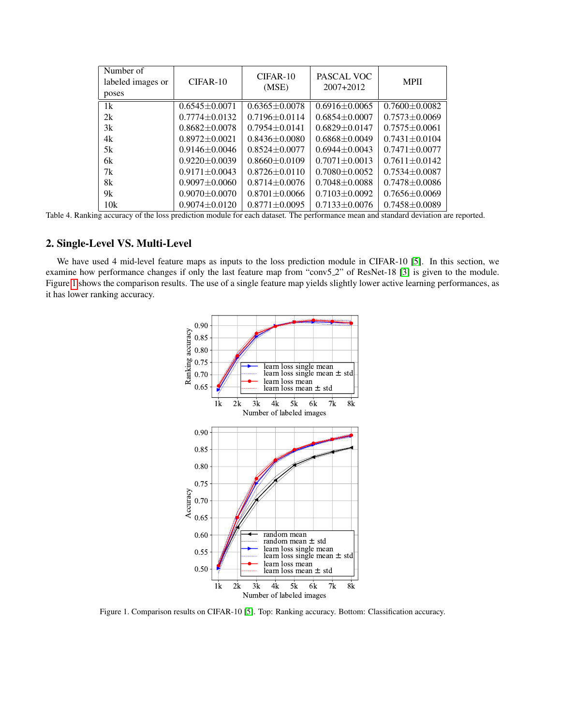| Number of<br>labeled images or<br>poses | CIFAR-10            | $CIFAR-10$<br>(MSE) | PASCAL VOC<br>$2007 + 2012$ | <b>MPII</b>         |
|-----------------------------------------|---------------------|---------------------|-----------------------------|---------------------|
| 1k                                      | $0.6545 + 0.0071$   | $0.6365 \pm 0.0078$ | $0.6916 + 0.0065$           | $0.7600 \pm 0.0082$ |
| 2k                                      | $0.7774 + 0.0132$   | $0.7196 + 0.0114$   | $0.6854 + 0.0007$           | $0.7573 + 0.0069$   |
| 3k                                      | $0.8682 \pm 0.0078$ | $0.7954 + 0.0141$   | $0.6829 + 0.0147$           | $0.7575 + 0.0061$   |
| 4k                                      | $0.8972 + 0.0021$   | $0.8436 + 0.0080$   | $0.6868 + 0.0049$           | $0.7431 + 0.0104$   |
| 5k                                      | $0.9146 + 0.0046$   | $0.8524 + 0.0077$   | $0.6944 + 0.0043$           | $0.7471 + 0.0077$   |
| 6k                                      | $0.9220 + 0.0039$   | $0.8660 + 0.0109$   | $0.7071 + 0.0013$           | $0.7611 + 0.0142$   |
| 7k                                      | $0.9171 + 0.0043$   | $0.8726 + 0.0110$   | $0.7080 + 0.0052$           | $0.7534 + 0.0087$   |
| 8k                                      | $0.9097 + 0.0060$   | $0.8714 + 0.0076$   | $0.7048 + 0.0088$           | $0.7478 + 0.0086$   |
| 9k                                      | $0.9070 + 0.0070$   | $0.8701 + 0.0066$   | $0.7103 + 0.0092$           | $0.7656 + 0.0069$   |
| 10k                                     | $0.9074 + 0.0120$   | $0.8771 \pm 0.0095$ | $0.7133 + 0.0076$           | $0.7458 + 0.0089$   |

<span id="page-2-1"></span>Table 4. Ranking accuracy of the loss prediction module for each dataset. The performance mean and standard deviation are reported.

# <span id="page-2-0"></span>2. Single-Level VS. Multi-Level

We have used 4 mid-level feature maps as inputs to the loss prediction module in CIFAR-10 [\[5\]](#page-6-2). In this section, we examine how performance changes if only the last feature map from "conv5 2" of ResNet-18 [\[3\]](#page-6-5) is given to the module. Figure [1](#page-2-2) shows the comparison results. The use of a single feature map yields slightly lower active learning performances, as it has lower ranking accuracy.



<span id="page-2-2"></span>Figure 1. Comparison results on CIFAR-10 [\[5\]](#page-6-2). Top: Ranking accuracy. Bottom: Classification accuracy.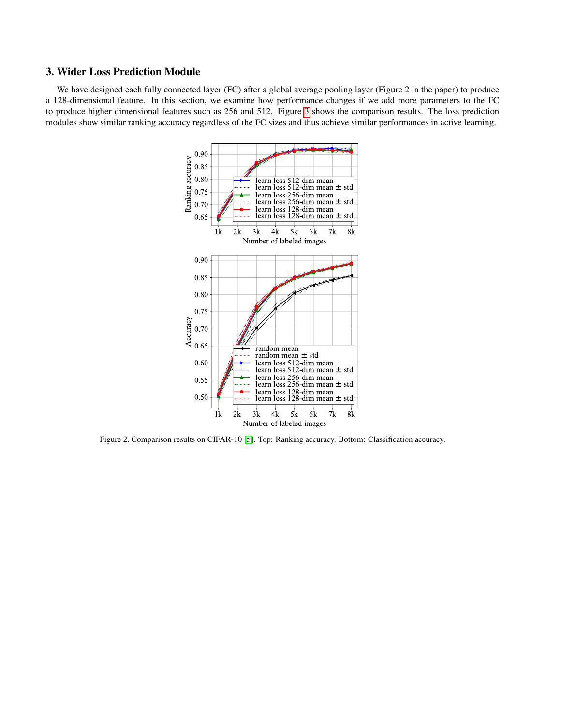### <span id="page-3-0"></span>3. Wider Loss Prediction Module

We have designed each fully connected layer (FC) after a global average pooling layer (Figure 2 in the paper) to produce a 128-dimensional feature. In this section, we examine how performance changes if we add more parameters to the FC to produce higher dimensional features such as 256 and 512. Figure [3](#page-3-1) shows the comparison results. The loss prediction modules show similar ranking accuracy regardless of the FC sizes and thus achieve similar performances in active learning.



<span id="page-3-1"></span>Figure 2. Comparison results on CIFAR-10 [\[5\]](#page-6-2). Top: Ranking accuracy. Bottom: Classification accuracy.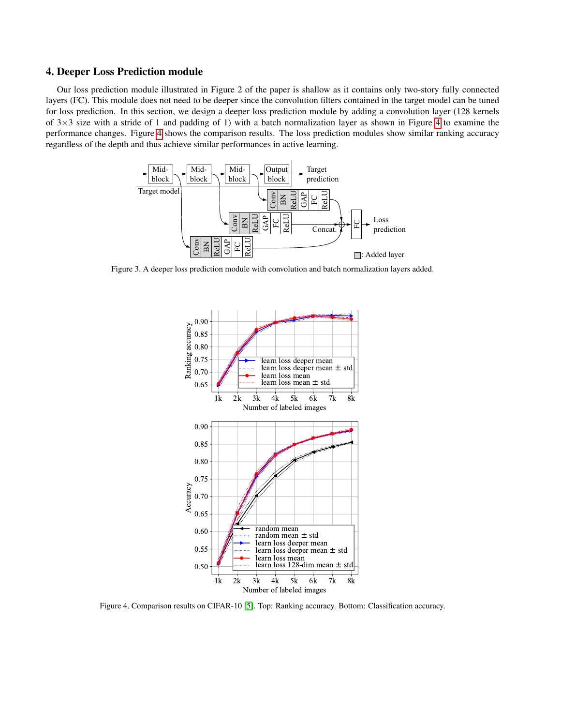#### <span id="page-4-0"></span>4. Deeper Loss Prediction module

Our loss prediction module illustrated in Figure 2 of the paper is shallow as it contains only two-story fully connected layers (FC). This module does not need to be deeper since the convolution filters contained in the target model can be tuned for loss prediction. In this section, we design a deeper loss prediction module by adding a convolution layer (128 kernels of  $3\times3$  size with a stride of 1 and padding of 1) with a batch normalization layer as shown in Figure [4](#page-4-1) to examine the performance changes. Figure [4](#page-4-2) shows the comparison results. The loss prediction modules show similar ranking accuracy regardless of the depth and thus achieve similar performances in active learning.



<span id="page-4-1"></span>Figure 3. A deeper loss prediction module with convolution and batch normalization layers added.



<span id="page-4-2"></span>Figure 4. Comparison results on CIFAR-10 [\[5\]](#page-6-2). Top: Ranking accuracy. Bottom: Classification accuracy.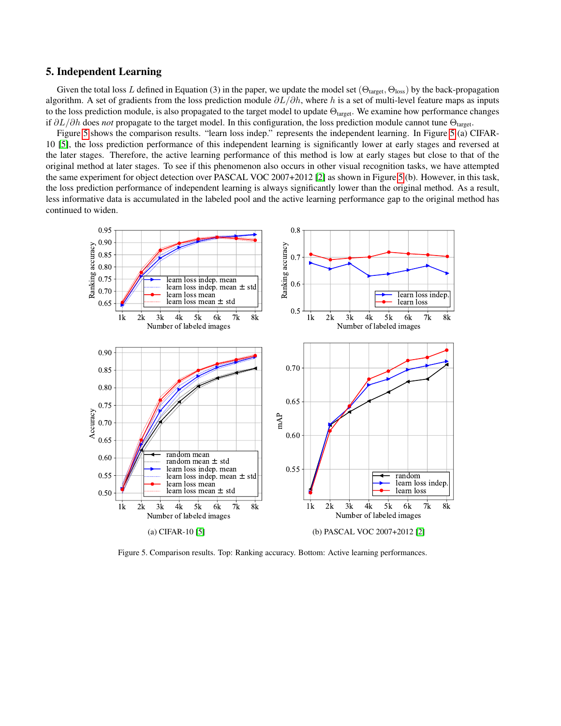#### <span id="page-5-0"></span>5. Independent Learning

Given the total loss L defined in Equation (3) in the paper, we update the model set  $(\Theta_{\text{target}}, \Theta_{\text{loss}})$  by the back-propagation algorithm. A set of gradients from the loss prediction module  $\partial L/\partial h$ , where h is a set of multi-level feature maps as inputs to the loss prediction module, is also propagated to the target model to update  $\Theta_{\text{target}}$ . We examine how performance changes if  $\partial L/\partial h$  does *not* propagate to the target model. In this configuration, the loss prediction module cannot tune  $\Theta_{\text{target}}$ .

Figure [5](#page-5-1) shows the comparison results. "learn loss indep." represents the independent learning. In Figure [5](#page-5-1) (a) CIFAR-10 [\[5\]](#page-6-2), the loss prediction performance of this independent learning is significantly lower at early stages and reversed at the later stages. Therefore, the active learning performance of this method is low at early stages but close to that of the original method at later stages. To see if this phenomenon also occurs in other visual recognition tasks, we have attempted the same experiment for object detection over PASCAL VOC 2007+2012 [\[2\]](#page-6-3) as shown in Figure [5](#page-5-1) (b). However, in this task, the loss prediction performance of independent learning is always significantly lower than the original method. As a result, less informative data is accumulated in the labeled pool and the active learning performance gap to the original method has continued to widen.



<span id="page-5-1"></span>Figure 5. Comparison results. Top: Ranking accuracy. Bottom: Active learning performances.